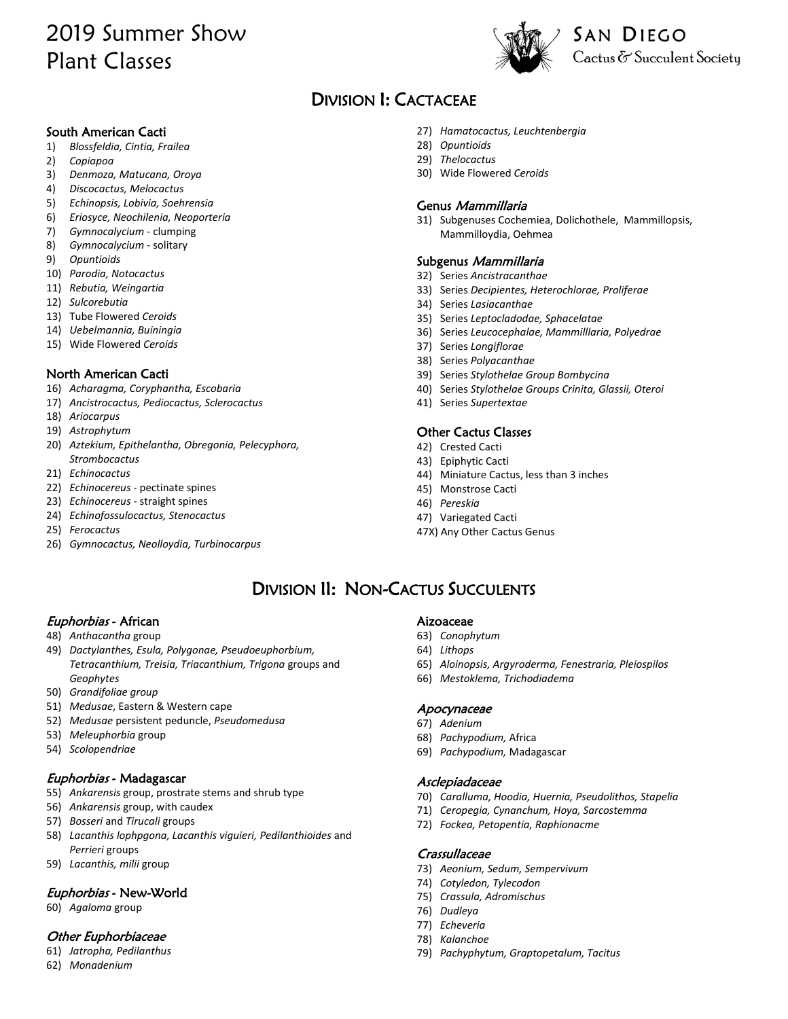# 2019 Summer Show Plant Classes



# DIVISION I: CACTACEAE

#### South American Cacti

- 1) *Blossfeldia, Cintia, Frailea*
- 2) *Copiapoa*
- 3) *Denmoza, Matucana, Oroya*
- 4) *Discocactus, Melocactus*
- 5) *Echinopsis, Lobivia, Soehrensia*
- 6) *Eriosyce, Neochilenia, Neoporteria*
- 7) *Gymnocalycium*  clumping
- 8) *Gymnocalycium*  solitary
- 9) *Opuntioids*
- 10) *Parodia, Notocactus*
- 11) *Rebutia, Weingartia*
- 12) *Sulcorebutia*
- 13) Tube Flowered *Ceroids*
- 14) *Uebelmannia, Buiningia*
- 15) Wide Flowered *Ceroids*

#### North American Cacti

- 16) *Acharagma, Coryphantha, Escobaria*
- 17) *Ancistrocactus, Pediocactus, Sclerocactus*
- 18) *Ariocarpus*
- 19) *Astrophytum*
- 20) *Aztekium, Epithelantha, Obregonia, Pelecyphora, Strombocactus*
- 21) *Echinocactus*
- 22) *Echinocereus*  pectinate spines
- 23) *Echinocereus*  straight spines
- 24) *Echinofossulocactus, Stenocactus*
- 25) *Ferocactus*
- 26) *Gymnocactus, Neolloydia, Turbinocarpus*
- 27) *Hamatocactus, Leuchtenbergia*
- 28) *Opuntioids*
- 29) *Thelocactus*
- 30) Wide Flowered *Ceroids*

#### Genus Mammillaria

31) Subgenuses Cochemiea, Dolichothele, Mammillopsis, Mammilloydia, Oehmea

#### Subgenus Mammillaria

- 32) Series *Ancistracanthae*
- 33) Series *Decipientes, Heterochlorae, Proliferae*
- 34) Series *Lasiacanthae*
- 35) Series *Leptocladodae, Sphacelatae*
- 36) Series *Leucocephalae, Mammilllaria, Polyedrae*
- 37) Series *Longiflorae*
- 38) Series *Polyacanthae*
- 39) Series *Stylothelae Group Bombycina*
- 40) Series *Stylothelae Groups Crinita, Glassii, Oteroi*
- 41) Series *Supertextae*

#### Other Cactus Classes

- 42) Crested Cacti
- 43) Epiphytic Cacti
- 44) Miniature Cactus, less than 3 inches
- 45) Monstrose Cacti
- 46) *Pereskia*
- 47) Variegated Cacti
- 47X) Any Other Cactus Genus

## DIVISION II: NON-CACTUS SUCCULENTS

#### Euphorbias - African

- 48) *Anthacantha* group
- 49) *Dactylanthes, Esula, Polygonae, Pseudoeuphorbium, Tetracanthium, Treisia, Triacanthium, Trigona* groups and *Geophytes*
- 50) *Grandifoliae group*
- 51) *Medusae*, Eastern & Western cape
- 52) *Medusae* persistent peduncle, *Pseudomedusa*
- 53) *Meleuphorbia* group
- 54) *Scolopendriae*

#### Euphorbias - Madagascar

- 55) *Ankarensis* group, prostrate stems and shrub type
- 56) *Ankarensis* group, with caudex
- 57) *Bosseri* and *Tirucali* groups
- 58) *Lacanthis lophpgona, Lacanthis viguieri, Pedilanthioides* and *Perrieri* groups
- 59) *Lacanthis, milii* group

#### Euphorbias - New-World

60) *Agaloma* group

#### Other Euphorbiaceae

- 61) *Jatropha, Pedilanthus*
- 62) *Monadenium*

#### Aizoaceae

- 63) *Conophytum*
- 64) *Lithops*
- 65) *Aloinopsis, Argyroderma, Fenestraria, Pleiospilos*
- 66) *Mestoklema, Trichodiadema*

#### Apocynaceae

- 67) *Adenium*
- 68) *Pachypodium,* Africa
- 69) *Pachypodium,* Madagascar

#### Asclepiadaceae

- 70) *Caralluma, Hoodia, Huernia, Pseudolithos, Stapelia*
- 71) *Ceropegia, Cynanchum, Hoya, Sarcostemma*
- 72) *Fockea, Petopentia, Raphionacme*

#### **Crassullaceae**

- 73) *Aeonium, Sedum, Sempervivum*
- 74) *Cotyledon, Tylecodon*
- 75) *Crassula, Adromischus*
- 76) *Dudleya*
- 77) *Echeveria*
- 78) *Kalanchoe*
- 79) *Pachyphytum, Graptopetalum, Tacitus*